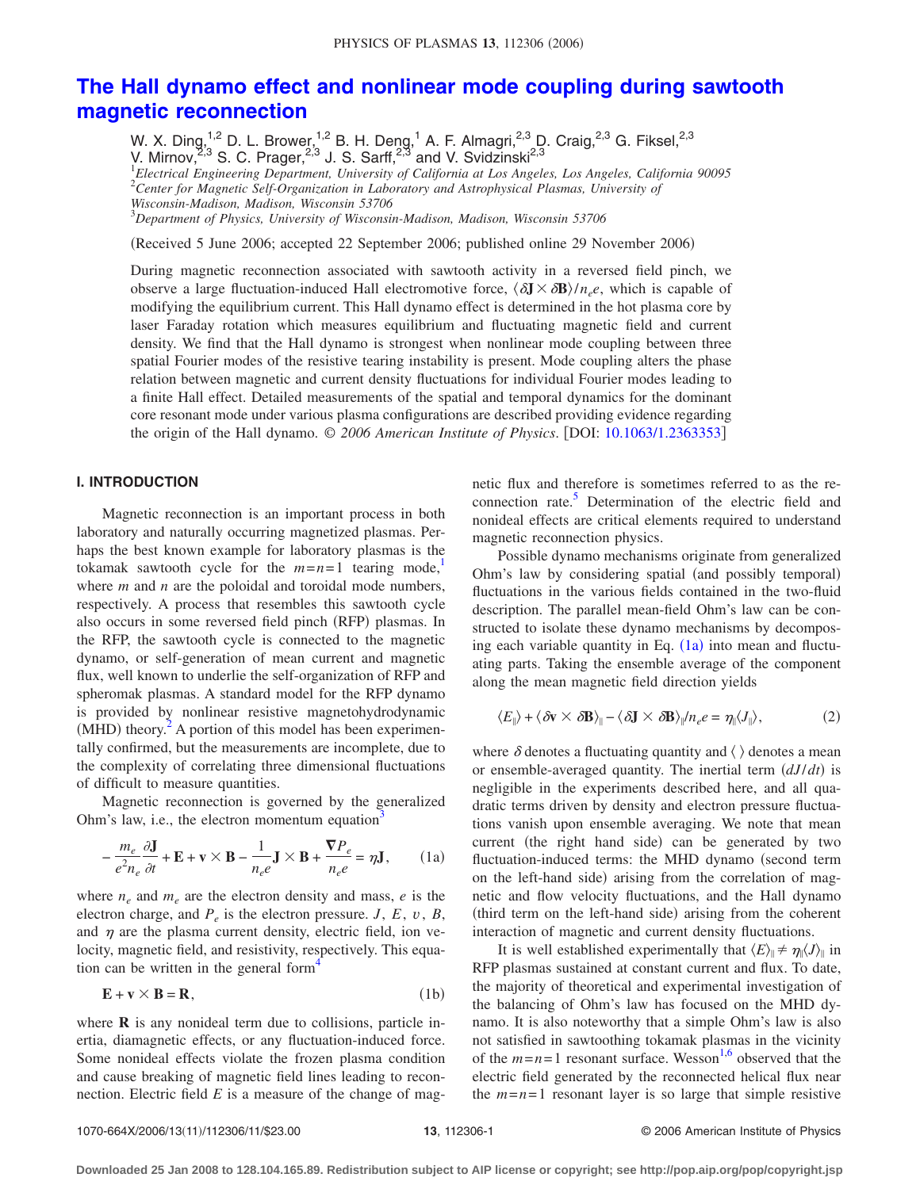# **[The Hall dynamo effect and nonlinear mode coupling during sawtooth](http://dx.doi.org/10.1063/1.2363353) [magnetic reconnection](http://dx.doi.org/10.1063/1.2363353)**

W. X. Ding,<sup>1,2</sup> D. L. Brower,<sup>1,2</sup> B. H. Deng,<sup>1</sup> A. F. Almagri,<sup>2,3</sup> D. Craig,<sup>2,3</sup> G. Fiksel,<sup>2,3</sup> V. Mirnov,<sup>2,3</sup> S. C. Prager,<sup>2,3</sup> J. S. Sarff,<sup>2,3</sup> and V. Svidzinski<sup>2,3</sup><br><sup>1</sup> Electrical Engineering Department, University of California at Los Angeles, Los Angeles, California 90095

2 *Center for Magnetic Self-Organization in Laboratory and Astrophysical Plasmas, University of Wisconsin-Madison, Madison, Wisconsin 53706*

3 *Department of Physics, University of Wisconsin-Madison, Madison, Wisconsin 53706*

Received 5 June 2006; accepted 22 September 2006; published online 29 November 2006-

During magnetic reconnection associated with sawtooth activity in a reversed field pinch, we observe a large fluctuation-induced Hall electromotive force,  $\langle \delta \mathbf{J} \times \delta \mathbf{B} \rangle / n_e e$ , which is capable of modifying the equilibrium current. This Hall dynamo effect is determined in the hot plasma core by laser Faraday rotation which measures equilibrium and fluctuating magnetic field and current density. We find that the Hall dynamo is strongest when nonlinear mode coupling between three spatial Fourier modes of the resistive tearing instability is present. Mode coupling alters the phase relation between magnetic and current density fluctuations for individual Fourier modes leading to a finite Hall effect. Detailed measurements of the spatial and temporal dynamics for the dominant core resonant mode under various plasma configurations are described providing evidence regarding the origin of the Hall dynamo. © *2006 American Institute of Physics*. DOI: [10.1063/1.2363353](http://dx.doi.org/10.1063/1.2363353)

## **I. INTRODUCTION**

Magnetic reconnection is an important process in both laboratory and naturally occurring magnetized plasmas. Perhaps the best known example for laboratory plasmas is the tokamak sawtooth cycle for the  $m=n=1$  tearing mode,<sup>1</sup> where *m* and *n* are the poloidal and toroidal mode numbers, respectively. A process that resembles this sawtooth cycle also occurs in some reversed field pinch (RFP) plasmas. In the RFP, the sawtooth cycle is connected to the magnetic dynamo, or self-generation of mean current and magnetic flux, well known to underlie the self-organization of RFP and spheromak plasmas. A standard model for the RFP dynamo is provided by nonlinear resistive magnetohydrodynamic  $(MHD)$  theory.<sup>2</sup> A portion of this model has been experimentally confirmed, but the measurements are incomplete, due to the complexity of correlating three dimensional fluctuations of difficult to measure quantities.

Magnetic reconnection is governed by the generalized Ohm's law, i.e., the electron momentum equation<sup>3</sup>

<span id="page-0-0"></span>
$$
-\frac{m_e}{e^2 n_e} \frac{\partial \mathbf{J}}{\partial t} + \mathbf{E} + \mathbf{v} \times \mathbf{B} - \frac{1}{n_e e} \mathbf{J} \times \mathbf{B} + \frac{\nabla P_e}{n_e e} = \eta \mathbf{J}, \quad (1a)
$$

where  $n_e$  and  $m_e$  are the electron density and mass,  $e$  is the electron charge, and  $P_e$  is the electron pressure. *J*, *E*, *v*, *B*, and  $\eta$  are the plasma current density, electric field, ion velocity, magnetic field, and resistivity, respectively. This equation can be written in the general form $4$ 

$$
\mathbf{E} + \mathbf{v} \times \mathbf{B} = \mathbf{R},\tag{1b}
$$

where **R** is any nonideal term due to collisions, particle inertia, diamagnetic effects, or any fluctuation-induced force. Some nonideal effects violate the frozen plasma condition and cause breaking of magnetic field lines leading to reconnection. Electric field *E* is a measure of the change of magnetic flux and therefore is sometimes referred to as the reconnection rate.<sup>5</sup> Determination of the electric field and nonideal effects are critical elements required to understand magnetic reconnection physics.

Possible dynamo mechanisms originate from generalized Ohm's law by considering spatial (and possibly temporal) fluctuations in the various fields contained in the two-fluid description. The parallel mean-field Ohm's law can be constructed to isolate these dynamo mechanisms by decomposing each variable quantity in Eq.  $(1a)$  $(1a)$  $(1a)$  into mean and fluctuating parts. Taking the ensemble average of the component along the mean magnetic field direction yields

<span id="page-0-1"></span>
$$
\langle E_{\parallel} \rangle + \langle \delta \mathbf{v} \times \delta \mathbf{B} \rangle_{\parallel} - \langle \delta \mathbf{J} \times \delta \mathbf{B} \rangle_{\parallel} / n_e e = \eta_{\parallel} \langle J_{\parallel} \rangle, \tag{2}
$$

where  $\delta$  denotes a fluctuating quantity and  $\langle \ \rangle$  denotes a mean or ensemble-averaged quantity. The inertial term  $(dJ/dt)$  is negligible in the experiments described here, and all quadratic terms driven by density and electron pressure fluctuations vanish upon ensemble averaging. We note that mean current (the right hand side) can be generated by two fluctuation-induced terms: the MHD dynamo (second term on the left-hand side) arising from the correlation of magnetic and flow velocity fluctuations, and the Hall dynamo (third term on the left-hand side) arising from the coherent interaction of magnetic and current density fluctuations.

It is well established experimentally that  $\langle E \rangle_{\parallel} \neq \eta_{\parallel} \langle J \rangle_{\parallel}$  in RFP plasmas sustained at constant current and flux. To date, the majority of theoretical and experimental investigation of the balancing of Ohm's law has focused on the MHD dynamo. It is also noteworthy that a simple Ohm's law is also not satisfied in sawtoothing tokamak plasmas in the vicinity of the  $m=n=1$  resonant surface. Wesson<sup>1[,6](#page-10-1)</sup> observed that the electric field generated by the reconnected helical flux near the  $m=n=1$  resonant layer is so large that simple resistive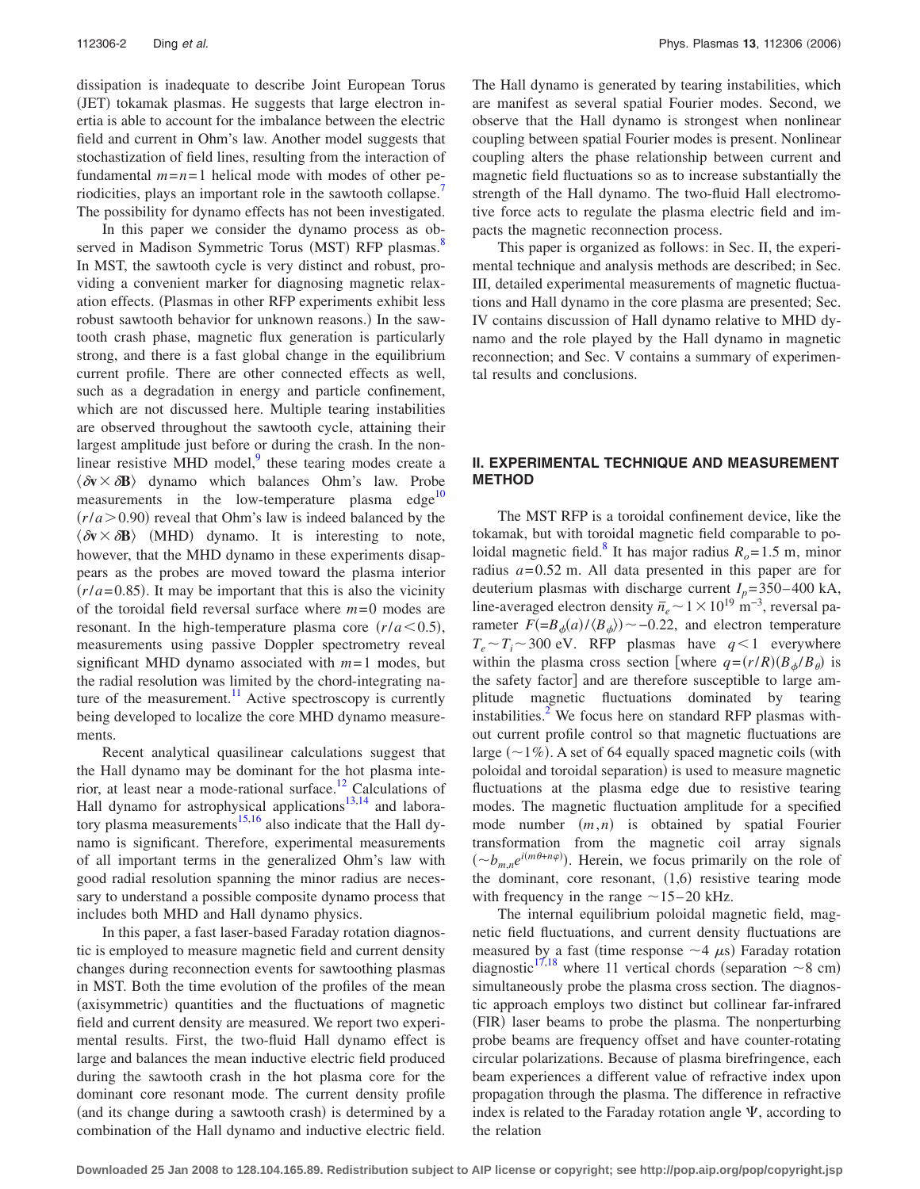dissipation is inadequate to describe Joint European Torus (JET) tokamak plasmas. He suggests that large electron inertia is able to account for the imbalance between the electric field and current in Ohm's law. Another model suggests that stochastization of field lines, resulting from the interaction of fundamental  $m=n=1$  helical mode with modes of other periodicities, plays an important role in the sawtooth collapse. The possibility for dynamo effects has not been investigated.

In this paper we consider the dynamo process as observed in Madison Symmetric Torus (MST) RFP plasmas.<sup>8</sup> In MST, the sawtooth cycle is very distinct and robust, providing a convenient marker for diagnosing magnetic relaxation effects. Plasmas in other RFP experiments exhibit less robust sawtooth behavior for unknown reasons.) In the sawtooth crash phase, magnetic flux generation is particularly strong, and there is a fast global change in the equilibrium current profile. There are other connected effects as well, such as a degradation in energy and particle confinement, which are not discussed here. Multiple tearing instabilities are observed throughout the sawtooth cycle, attaining their largest amplitude just before or during the crash. In the nonlinear resistive MHD model, $\frac{9}{2}$  these tearing modes create a  $\langle \delta v \times \delta B \rangle$  dynamo which balances Ohm's law. Probe measurements in the low-temperature plasma edge<sup>10</sup>  $(r/a > 0.90)$  reveal that Ohm's law is indeed balanced by the  $\langle \delta v \times \delta B \rangle$  (MHD) dynamo. It is interesting to note, however, that the MHD dynamo in these experiments disappears as the probes are moved toward the plasma interior  $(r/a = 0.85)$ . It may be important that this is also the vicinity of the toroidal field reversal surface where *m*= 0 modes are resonant. In the high-temperature plasma core  $(r/a < 0.5)$ , measurements using passive Doppler spectrometry reveal significant MHD dynamo associated with *m*= 1 modes, but the radial resolution was limited by the chord-integrating nature of the measurement. $\frac{11}{11}$  Active spectroscopy is currently being developed to localize the core MHD dynamo measurements.

Recent analytical quasilinear calculations suggest that the Hall dynamo may be dominant for the hot plasma interior, at least near a mode-rational surface.<sup>12</sup> Calculations of Hall dynamo for astrophysical applications $13,14$  $13,14$  and labora-tory plasma measurements<sup>15[,16](#page-10-11)</sup> also indicate that the Hall dynamo is significant. Therefore, experimental measurements of all important terms in the generalized Ohm's law with good radial resolution spanning the minor radius are necessary to understand a possible composite dynamo process that includes both MHD and Hall dynamo physics.

In this paper, a fast laser-based Faraday rotation diagnostic is employed to measure magnetic field and current density changes during reconnection events for sawtoothing plasmas in MST. Both the time evolution of the profiles of the mean (axisymmetric) quantities and the fluctuations of magnetic field and current density are measured. We report two experimental results. First, the two-fluid Hall dynamo effect is large and balances the mean inductive electric field produced during the sawtooth crash in the hot plasma core for the dominant core resonant mode. The current density profile (and its change during a sawtooth crash) is determined by a combination of the Hall dynamo and inductive electric field.

The Hall dynamo is generated by tearing instabilities, which are manifest as several spatial Fourier modes. Second, we observe that the Hall dynamo is strongest when nonlinear coupling between spatial Fourier modes is present. Nonlinear coupling alters the phase relationship between current and magnetic field fluctuations so as to increase substantially the strength of the Hall dynamo. The two-fluid Hall electromotive force acts to regulate the plasma electric field and impacts the magnetic reconnection process.

This paper is organized as follows: in Sec. II, the experimental technique and analysis methods are described; in Sec. III, detailed experimental measurements of magnetic fluctuations and Hall dynamo in the core plasma are presented; Sec. IV contains discussion of Hall dynamo relative to MHD dynamo and the role played by the Hall dynamo in magnetic reconnection; and Sec. V contains a summary of experimental results and conclusions.

# **II. EXPERIMENTAL TECHNIQUE AND MEASUREMENT METHOD**

The MST RFP is a toroidal confinement device, like the tokamak, but with toroidal magnetic field comparable to poloidal magnetic field.<sup>8</sup> It has major radius  $R<sub>o</sub>=1.5$  m, minor radius *a*= 0.52 m. All data presented in this paper are for deuterium plasmas with discharge current  $I_p = 350 - 400$  kA, line-averaged electron density  $\bar{n}_e \sim 1 \times 10^{19}$  m<sup>-3</sup>, reversal parameter  $F(=B_{\phi}(a)/\langle B_{\phi}\rangle) \sim -0.22$ , and electron temperature  $T_e \sim T_i \sim 300$  eV. RFP plasmas have  $q \le 1$  everywhere within the plasma cross section [where  $q = (r/R)(B_{\phi}/B_{\theta})$  is the safety factor<sup>a</sup> and are therefore susceptible to large amplitude magnetic fluctuations dominated by tearing instabilities.<sup>2</sup> We focus here on standard RFP plasmas without current profile control so that magnetic fluctuations are large  $(\sim 1\%)$ . A set of 64 equally spaced magnetic coils (with poloidal and toroidal separation) is used to measure magnetic fluctuations at the plasma edge due to resistive tearing modes. The magnetic fluctuation amplitude for a specified mode number  $(m, n)$  is obtained by spatial Fourier transformation from the magnetic coil array signals  $({\sim}b_{m,n}e^{i(m\theta+n\varphi)})$ . Herein, we focus primarily on the role of the dominant, core resonant,  $(1,6)$  resistive tearing mode with frequency in the range  $\sim$  15–20 kHz.

The internal equilibrium poloidal magnetic field, magnetic field fluctuations, and current density fluctuations are measured by a fast (time response  $\sim$  4  $\mu$ s) Faraday rotation diagnostic<sup>17[,18](#page-10-13)</sup> where 11 vertical chords (separation  $\sim$ 8 cm) simultaneously probe the plasma cross section. The diagnostic approach employs two distinct but collinear far-infrared (FIR) laser beams to probe the plasma. The nonperturbing probe beams are frequency offset and have counter-rotating circular polarizations. Because of plasma birefringence, each beam experiences a different value of refractive index upon propagation through the plasma. The difference in refractive index is related to the Faraday rotation angle  $\Psi$ , according to the relation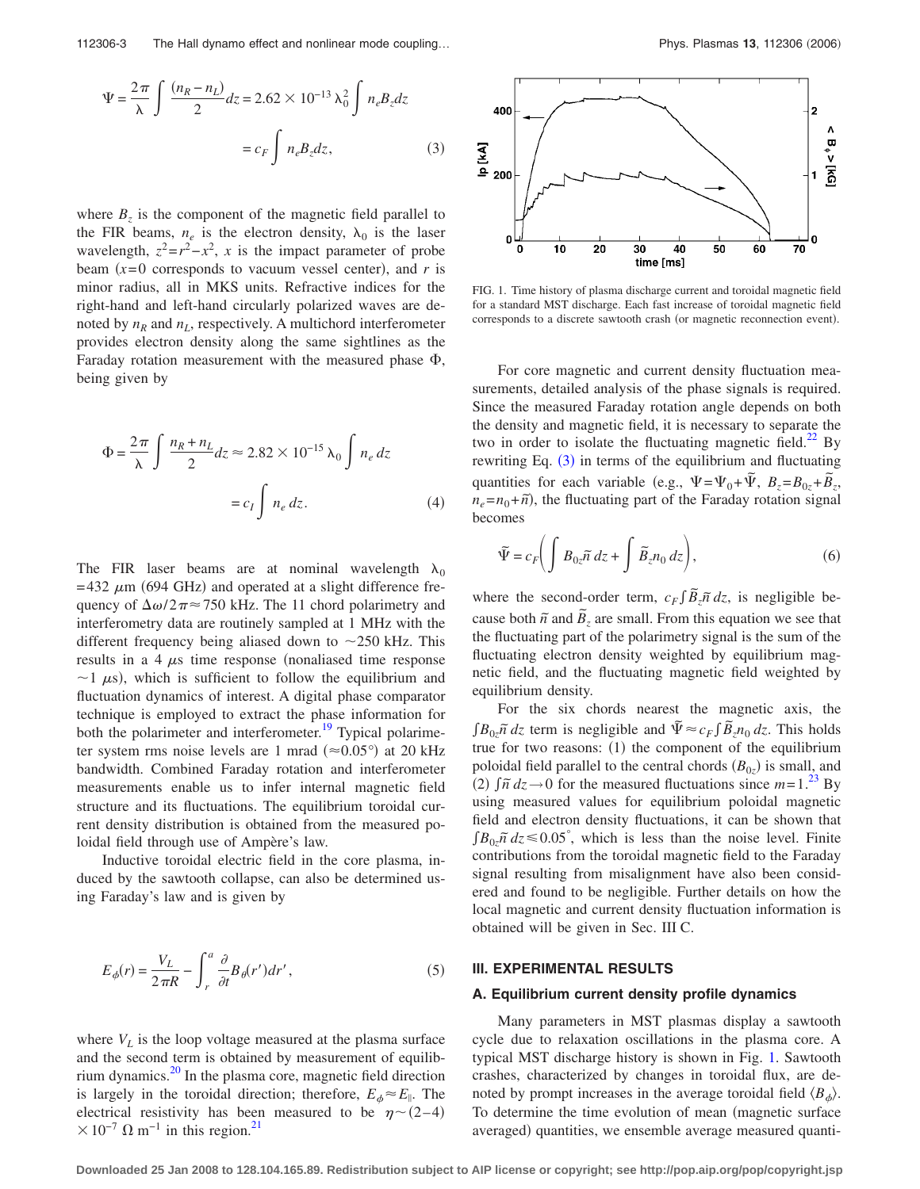<span id="page-2-0"></span>
$$
\Psi = \frac{2\pi}{\lambda} \int \frac{(n_R - n_L)}{2} dz = 2.62 \times 10^{-13} \lambda_0^2 \int n_e B_z dz
$$

$$
= c_F \int n_e B_z dz, \qquad (3)
$$

where  $B_z$  is the component of the magnetic field parallel to the FIR beams,  $n_e$  is the electron density,  $\lambda_0$  is the laser wavelength,  $z^2 = r^2 - x^2$ , *x* is the impact parameter of probe beam  $(x=0$  corresponds to vacuum vessel center), and *r* is minor radius, all in MKS units. Refractive indices for the right-hand and left-hand circularly polarized waves are denoted by  $n_R$  and  $n_L$ , respectively. A multichord interferometer provides electron density along the same sightlines as the Faraday rotation measurement with the measured phase  $\Phi$ , being given by

$$
\Phi = \frac{2\pi}{\lambda} \int \frac{n_R + n_L}{2} dz \approx 2.82 \times 10^{-15} \lambda_0 \int n_e dz
$$

$$
= c_I \int n_e dz.
$$
 (4)

The FIR laser beams are at nominal wavelength  $\lambda_0$  $= 432 \mu m$  (694 GHz) and operated at a slight difference frequency of  $\Delta \omega / 2 \pi \approx 750$  kHz. The 11 chord polarimetry and interferometry data are routinely sampled at 1 MHz with the different frequency being aliased down to  $\sim$ 250 kHz. This results in a 4  $\mu$ s time response (nonaliased time response  $\sim$ 1  $\mu$ s), which is sufficient to follow the equilibrium and fluctuation dynamics of interest. A digital phase comparator technique is employed to extract the phase information for both the polarimeter and interferometer.<sup>19</sup> Typical polarimeter system rms noise levels are 1 mrad  $(\approx 0.05^{\circ})$  at 20 kHz bandwidth. Combined Faraday rotation and interferometer measurements enable us to infer internal magnetic field structure and its fluctuations. The equilibrium toroidal current density distribution is obtained from the measured poloidal field through use of Ampère's law.

Inductive toroidal electric field in the core plasma, induced by the sawtooth collapse, can also be determined using Faraday's law and is given by

$$
E_{\phi}(r) = \frac{V_L}{2\pi R} - \int_r^a \frac{\partial}{\partial t} B_{\theta}(r') dr', \qquad (5)
$$

where  $V_L$  is the loop voltage measured at the plasma surface and the second term is obtained by measurement of equilibrium dynamics. $2^{\circ}$  In the plasma core, magnetic field direction is largely in the toroidal direction; therefore,  $E_{\phi} \approx E_{\parallel}$ . The electrical resistivity has been measured to be  $\eta \sim (2-4)$  $\times 10^{-7}$  Ω m<sup>-1</sup> in this region.<sup>21</sup>

<span id="page-2-1"></span>

FIG. 1. Time history of plasma discharge current and toroidal magnetic field for a standard MST discharge. Each fast increase of toroidal magnetic field corresponds to a discrete sawtooth crash (or magnetic reconnection event).

For core magnetic and current density fluctuation measurements, detailed analysis of the phase signals is required. Since the measured Faraday rotation angle depends on both the density and magnetic field, it is necessary to separate the two in order to isolate the fluctuating magnetic field.<sup>22</sup> By rewriting Eq. ([3](#page-2-0)) in terms of the equilibrium and fluctuating quantities for each variable (e.g.,  $\Psi = \Psi_0 + \tilde{\Psi}$ ,  $B_z = B_{0z} + \tilde{B}_z$ ,  $n_e = n_0 + \tilde{n}$ ), the fluctuating part of the Faraday rotation signal becomes

$$
\tilde{\Psi} = c_F \left( \int B_{0z} \tilde{n} \, dz + \int \tilde{B}_z n_0 \, dz \right),\tag{6}
$$

where the second-order term,  $c_F \int \tilde{B}_z \tilde{n} \, dz$ , is negligible because both  $\tilde{n}$  and  $\tilde{B}_z$  are small. From this equation we see that the fluctuating part of the polarimetry signal is the sum of the fluctuating electron density weighted by equilibrium magnetic field, and the fluctuating magnetic field weighted by equilibrium density.

For the six chords nearest the magnetic axis, the  $\int B_{0z} \tilde{n} dz$  term is negligible and  $\tilde{\Psi} \approx c_F \int \tilde{B}_z n_0 dz$ . This holds true for two reasons: (1) the component of the equilibrium poloidal field parallel to the central chords  $(B_{0z})$  is small, and (2)  $\int \vec{n} dz \rightarrow 0$  for the measured fluctuations since  $m=1.^{23}$  By using measured values for equilibrium poloidal magnetic field and electron density fluctuations, it can be shown that  $\int B_{0z} \tilde{n} dz \leq 0.05^{\circ}$ , which is less than the noise level. Finite contributions from the toroidal magnetic field to the Faraday signal resulting from misalignment have also been considered and found to be negligible. Further details on how the local magnetic and current density fluctuation information is obtained will be given in Sec. III C.

## **III. EXPERIMENTAL RESULTS**

#### **A. Equilibrium current density profile dynamics**

Many parameters in MST plasmas display a sawtooth cycle due to relaxation oscillations in the plasma core. A typical MST discharge history is shown in Fig. [1.](#page-2-1) Sawtooth crashes, characterized by changes in toroidal flux, are denoted by prompt increases in the average toroidal field  $\langle B_{\phi} \rangle$ . To determine the time evolution of mean (magnetic surface averaged) quantities, we ensemble average measured quanti-

**Downloaded 25 Jan 2008 to 128.104.165.89. Redistribution subject to AIP license or copyright; see http://pop.aip.org/pop/copyright.jsp**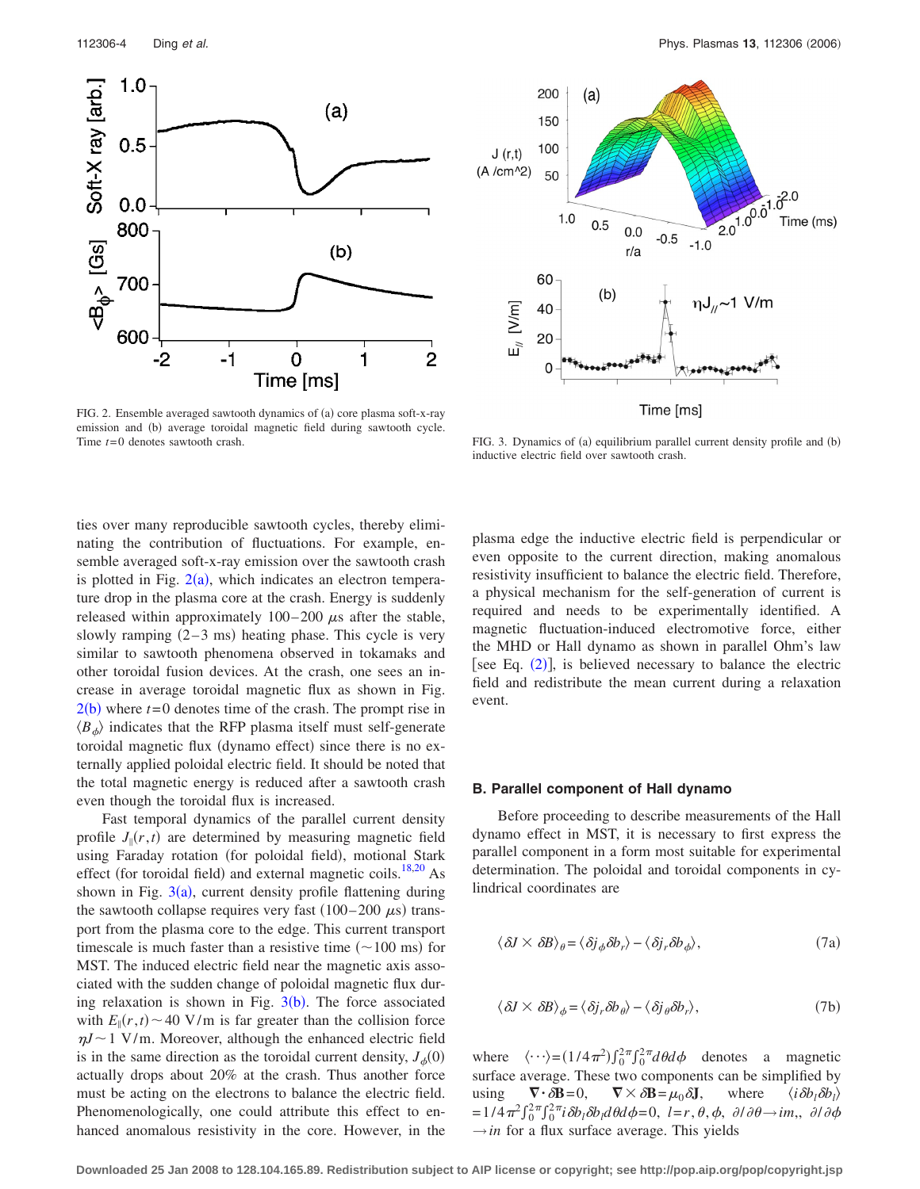<span id="page-3-0"></span>

<span id="page-3-1"></span>

FIG. 2. Ensemble averaged sawtooth dynamics of (a) core plasma soft-x-ray emission and (b) average toroidal magnetic field during sawtooth cycle. Time  $t = 0$  denotes sawtooth crash.

) equilibrium parallel current density profile and (b) inductive electric field over sawtooth crash.

ties over many reproducible sawtooth cycles, thereby eliminating the contribution of fluctuations. For example, ensemble averaged soft-x-ray emission over the sawtooth crash is plotted in Fig.  $2(a)$  $2(a)$ , which indicates an electron temperature drop in the plasma core at the crash. Energy is suddenly released within approximately  $100-200 \mu s$  after the stable, slowly ramping  $(2-3 \text{ ms})$  heating phase. This cycle is very similar to sawtooth phenomena observed in tokamaks and other toroidal fusion devices. At the crash, one sees an increase in average toroidal magnetic flux as shown in Fig.  $2(b)$  $2(b)$  where  $t=0$  denotes time of the crash. The prompt rise in  $\langle B_{\phi} \rangle$  indicates that the RFP plasma itself must self-generate toroidal magnetic flux (dynamo effect) since there is no externally applied poloidal electric field. It should be noted that the total magnetic energy is reduced after a sawtooth crash even though the toroidal flux is increased.

Fast temporal dynamics of the parallel current density profile  $J_{\parallel}(r,t)$  are determined by measuring magnetic field using Faraday rotation (for poloidal field), motional Stark effect (for toroidal field) and external magnetic coils.<sup>18,[20](#page-10-15)</sup> As shown in Fig.  $3(a)$  $3(a)$ , current density profile flattening during the sawtooth collapse requires very fast  $(100-200 \ \mu s)$  transport from the plasma core to the edge. This current transport timescale is much faster than a resistive time  $(\sim 100 \text{ ms})$  for MST. The induced electric field near the magnetic axis associated with the sudden change of poloidal magnetic flux during relaxation is shown in Fig.  $3(b)$  $3(b)$ . The force associated with  $E_{\parallel}(r,t) \sim 40$  V/m is far greater than the collision force  $\eta J \sim 1$  V/m. Moreover, although the enhanced electric field is in the same direction as the toroidal current density,  $J_{\phi}(0)$ actually drops about 20% at the crash. Thus another force must be acting on the electrons to balance the electric field. Phenomenologically, one could attribute this effect to enhanced anomalous resistivity in the core. However, in the plasma edge the inductive electric field is perpendicular or even opposite to the current direction, making anomalous resistivity insufficient to balance the electric field. Therefore, a physical mechanism for the self-generation of current is required and needs to be experimentally identified. A magnetic fluctuation-induced electromotive force, either the MHD or Hall dynamo as shown in parallel Ohm's law [see Eq.  $(2)$  $(2)$  $(2)$ ], is believed necessary to balance the electric field and redistribute the mean current during a relaxation event.

#### **B. Parallel component of Hall dynamo**

Before proceeding to describe measurements of the Hall dynamo effect in MST, it is necessary to first express the parallel component in a form most suitable for experimental determination. The poloidal and toroidal components in cylindrical coordinates are

$$
\langle \delta J \times \delta B \rangle_{\theta} = \langle \delta j_{\phi} \delta b_{r} \rangle - \langle \delta j_{r} \delta b_{\phi} \rangle, \tag{7a}
$$

$$
\langle \delta J \times \delta B \rangle_{\phi} = \langle \delta j_r \delta b_\theta \rangle - \langle \delta j_\theta \delta b_r \rangle, \tag{7b}
$$

where  $\langle \cdots \rangle = (1/4\pi^2) \int_0^{2\pi} \int_0^{2\pi} d\theta d\phi$  denotes a magnetic surface average. These two components can be simplified by using  $\mathbf{\nabla} \cdot \delta \mathbf{B} = 0$ ,  $\nabla \times \delta \mathbf{B} = \mu_0 \delta \mathbf{J}$ , where  $\delta b_l$  $=1/4\pi^2 \int_0^{2\pi} \int_0^{2\pi} i \delta b_l \delta b_l d\theta d\phi = 0, l=r, \theta, \phi, \delta/\partial \theta \rightarrow im, \delta/\partial \phi$  $\rightarrow$ *in* for a flux surface average. This yields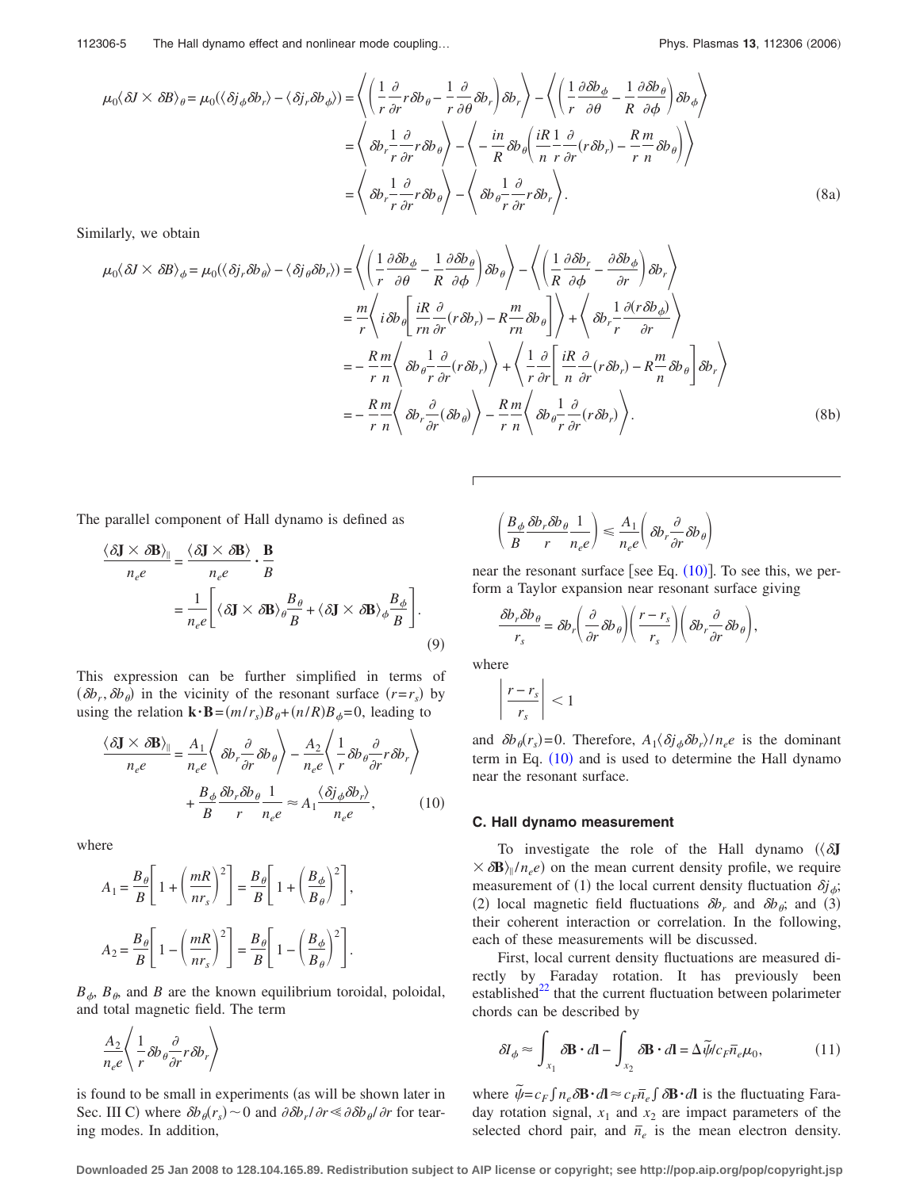112306-5 The Hall dynamo effect and nonlinear mode coupling... Phys. Plasmas **13**, 112306 (2006)

$$
\mu_0 \langle \delta J \times \delta B \rangle_{\theta} = \mu_0 (\langle \delta j_{\phi} \delta b_r \rangle - \langle \delta j_r \delta b_{\phi} \rangle) = \left\langle \left( \frac{1}{r} \frac{\partial}{\partial r} r \delta b_{\theta} - \frac{1}{r} \frac{\partial}{\partial \theta} \delta b_r \right) \delta b_r \right\rangle - \left\langle \left( \frac{1}{r} \frac{\partial \delta b_{\phi}}{\partial \theta} - \frac{1}{R} \frac{\partial \delta b_{\theta}}{\partial \phi} \right) \delta b_{\phi} \right\rangle
$$

$$
= \left\langle \delta b_r \frac{1}{r} \frac{\partial}{\partial r} r \delta b_{\theta} \right\rangle - \left\langle -\frac{in}{R} \delta b_{\theta} \left( \frac{iR}{n} \frac{1}{r} \frac{\partial}{\partial r} (r \delta b_r) - \frac{R}{r} \frac{m}{n} \delta b_{\theta} \right) \right\rangle
$$

$$
= \left\langle \delta b_r \frac{1}{r} \frac{\partial}{\partial r} r \delta b_{\theta} \right\rangle - \left\langle \delta b_{\theta} \frac{1}{r} \frac{\partial}{\partial r} r \delta b_r \right\rangle.
$$
(8a)

Similarly, we obtain

$$
\mu_0 \langle \delta I \times \delta B \rangle_{\phi} = \mu_0 (\langle \delta j_r \delta b_{\theta} \rangle - \langle \delta j_{\theta} \delta b_r \rangle) = \left\langle \left( \frac{1}{r} \frac{\partial \delta b_{\phi}}{\partial \theta} - \frac{1}{R} \frac{\partial \delta b_{\theta}}{\partial \phi} \right) \delta b_{\theta} \right\rangle - \left\langle \left( \frac{1}{R} \frac{\partial \delta b_r}{\partial \phi} - \frac{\partial \delta b_{\phi}}{\partial r} \right) \delta b_r \right\rangle
$$
  
\n
$$
= \frac{m}{r} \left\langle i \delta b_{\theta} \left[ \frac{iR}{rn} \frac{\partial}{\partial r} (r \delta b_r) - R \frac{m}{rn} \delta b_{\theta} \right] \right\rangle + \left\langle \delta b_r \frac{1}{r} \frac{\partial (r \delta b_{\phi})}{\partial r} \right\rangle
$$
  
\n
$$
= -\frac{R}{r} \frac{m}{n} \left\langle \delta b_{\theta} \frac{1}{r} \frac{\partial}{\partial r} (r \delta b_r) \right\rangle + \left\langle \frac{1}{r} \frac{\partial}{\partial r} \left[ \frac{iR}{n} \frac{\partial}{\partial r} (r \delta b_r) - R \frac{m}{n} \delta b_{\theta} \right] \delta b_r \right\rangle
$$
  
\n
$$
= -\frac{R}{r} \frac{m}{n} \left\langle \delta b_r \frac{\partial}{\partial r} (\delta b_{\theta}) \right\rangle - \frac{R}{r} \frac{m}{n} \left\langle \delta b_{\theta} \frac{1}{r} \frac{\partial}{\partial r} (r \delta b_r) \right\rangle.
$$
 (8b)

The parallel component of Hall dynamo is defined as

$$
\frac{\langle \delta \mathbf{J} \times \delta \mathbf{B} \rangle_{\parallel}}{n_e e} = \frac{\langle \delta \mathbf{J} \times \delta \mathbf{B} \rangle}{n_e e} \cdot \frac{\mathbf{B}}{B}
$$

$$
= \frac{1}{n_e e} \left[ \langle \delta \mathbf{J} \times \delta \mathbf{B} \rangle_{\theta} \frac{B_{\theta}}{B} + \langle \delta \mathbf{J} \times \delta \mathbf{B} \rangle_{\phi} \frac{B_{\phi}}{B} \right].
$$
(9)

This expression can be further simplified in terms of  $(\delta b_r, \delta b_\theta)$  in the vicinity of the resonant surface  $(r=r_s)$  by using the relation  $\mathbf{k} \cdot \mathbf{B} = (m/r_s)B_\theta + (n/R)B_\phi = 0$ , leading to

<span id="page-4-0"></span>
$$
\frac{\langle \delta \mathbf{J} \times \delta \mathbf{B} \rangle_{\parallel}}{n_e e} = \frac{A_1}{n_e e} \left\langle \delta b_r \frac{\partial}{\partial r} \delta b_\theta \right\rangle - \frac{A_2}{n_e e} \left\langle \frac{1}{r} \delta b_\theta \frac{\partial}{\partial r} r \delta b_r \right\rangle
$$

$$
+ \frac{B_\phi}{B} \frac{\delta b_r \delta b_\theta}{r} \frac{1}{n_e e} \approx A_1 \frac{\langle \delta j_\phi \delta b_r \rangle}{n_e e}, \qquad (10)
$$

where

$$
A_1 = \frac{B_\theta}{B} \left[ 1 + \left( \frac{mR}{nr_s} \right)^2 \right] = \frac{B_\theta}{B} \left[ 1 + \left( \frac{B_\phi}{B_\theta} \right)^2 \right],
$$
  

$$
A_2 = \frac{B_\theta}{B} \left[ 1 - \left( \frac{mR}{nr_s} \right)^2 \right] = \frac{B_\theta}{B} \left[ 1 - \left( \frac{B_\phi}{B_\theta} \right)^2 \right].
$$

 $B_{\phi}$ ,  $B_{\theta}$ , and *B* are the known equilibrium toroidal, poloidal, and total magnetic field. The term

$$
\frac{A_2}{n_e e} \left\langle \frac{1}{r} \delta b_\theta \frac{\partial}{\partial r} r \delta b_r \right\rangle
$$

is found to be small in experiments (as will be shown later in Sec. III C) where  $\delta b_{\theta}(r_s) \sim 0$  and  $\partial \delta b_r / \partial r \le \partial \delta b_{\theta} / \partial r$  for tearing modes. In addition,

$$
\left(\frac{B_{\phi}}{B}\frac{\delta b_r \delta b_{\theta}}{r}\frac{1}{n_e e}\right) \leqslant \frac{A_1}{n_e e}\Bigg(\delta b_r \frac{\partial}{\partial r}\delta b_{\theta}\Bigg)
$$

near the resonant surface [see Eq.  $(10)$  $(10)$  $(10)$ ]. To see this, we perform a Taylor expansion near resonant surface giving

$$
\frac{\delta b_r \delta b_\theta}{r_s} = \delta b_r \left(\frac{\partial}{\partial r} \delta b_\theta\right) \left(\frac{r - r_s}{r_s}\right) \left(\delta b_r \frac{\partial}{\partial r} \delta b_\theta\right),\,
$$

where

$$
\left|\frac{r-r_s}{r_s}\right| < 1
$$

and  $\delta b_{\theta}(r_s) = 0$ . Therefore,  $A_1 \langle \delta j_{\phi} \delta b_r \rangle / n_e e$  is the dominant term in Eq.  $(10)$  $(10)$  $(10)$  and is used to determine the Hall dynamo near the resonant surface.

#### **C. Hall dynamo measurement**

To investigate the role of the Hall dynamo  $(\delta J)$  $\times \delta \mathbf{B}$ /<sub>||</sub>/ $n_e$ e) on the mean current density profile, we require measurement of (1) the local current density fluctuation  $\delta j_{\phi}$ ; (2) local magnetic field fluctuations  $\delta b_r$  and  $\delta b_{\theta}$ ; and (3) their coherent interaction or correlation. In the following, each of these measurements will be discussed.

First, local current density fluctuations are measured directly by Faraday rotation. It has previously been established $^{22}$  that the current fluctuation between polarimeter chords can be described by

$$
\delta I_{\phi} \approx \int_{x_1} \delta \mathbf{B} \cdot d\mathbf{l} - \int_{x_2} \delta \mathbf{B} \cdot d\mathbf{l} = \Delta \tilde{\psi}/c_F \bar{n}_e \mu_0, \tag{11}
$$

where  $\tilde{\psi} = c_F \int n_e \delta \mathbf{B} \cdot d\mathbf{l} \approx c_F \overline{n}_e \int \delta \mathbf{B} \cdot d\mathbf{l}$  is the fluctuating Faraday rotation signal,  $x_1$  and  $x_2$  are impact parameters of the selected chord pair, and  $\bar{n}_e$  is the mean electron density.

**Downloaded 25 Jan 2008 to 128.104.165.89. Redistribution subject to AIP license or copyright; see http://pop.aip.org/pop/copyright.jsp**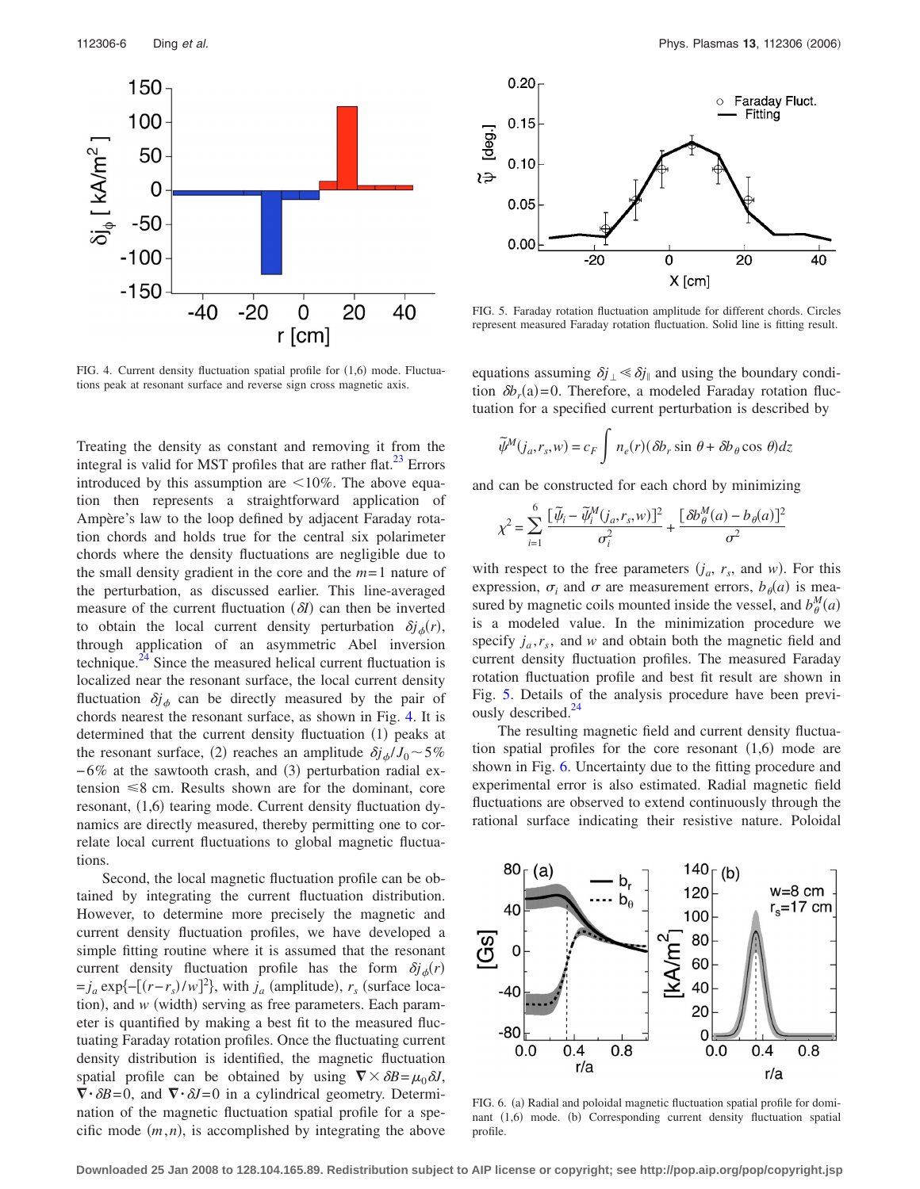<span id="page-5-0"></span>

FIG. 4. Current density fluctuation spatial profile for (1,6) mode. Fluctuations peak at resonant surface and reverse sign cross magnetic axis.

Treating the density as constant and removing it from the integral is valid for MST profiles that are rather flat.<sup>23</sup> Errors introduced by this assumption are  $\leq 10\%$ . The above equation then represents a straightforward application of Ampère's law to the loop defined by adjacent Faraday rotation chords and holds true for the central six polarimeter chords where the density fluctuations are negligible due to the small density gradient in the core and the *m*= 1 nature of the perturbation, as discussed earlier. This line-averaged measure of the current fluctuation  $(\delta I)$  can then be inverted to obtain the local current density perturbation  $\delta j_{\phi}(r)$ , through application of an asymmetric Abel inversion technique.<sup>24</sup> Since the measured helical current fluctuation is localized near the resonant surface, the local current density fluctuation  $\delta j_{\phi}$  can be directly measured by the pair of chords nearest the resonant surface, as shown in Fig. [4.](#page-5-0) It is determined that the current density fluctuation (1) peaks at the resonant surface, (2) reaches an amplitude  $\delta j_{\phi}/J_0 \sim 5\%$ −6% at the sawtooth crash, and (3) perturbation radial extension  $\leq 8$  cm. Results shown are for the dominant, core resonant, (1,6) tearing mode. Current density fluctuation dynamics are directly measured, thereby permitting one to correlate local current fluctuations to global magnetic fluctuations.

Second, the local magnetic fluctuation profile can be obtained by integrating the current fluctuation distribution. However, to determine more precisely the magnetic and current density fluctuation profiles, we have developed a simple fitting routine where it is assumed that the resonant current density fluctuation profile has the form  $\delta j_{\phi}(r)$  $=j_a \exp\{-[(r-r_s)/w]^2\}$ , with  $j_a$  (amplitude),  $r_s$  (surface location), and *w* (width) serving as free parameters. Each parameter is quantified by making a best fit to the measured fluctuating Faraday rotation profiles. Once the fluctuating current density distribution is identified, the magnetic fluctuation spatial profile can be obtained by using  $\nabla \times \delta B = \mu_0 \delta J$ ,  $\nabla \cdot \delta B = 0$ , and  $\nabla \cdot \delta J = 0$  in a cylindrical geometry. Determination of the magnetic fluctuation spatial profile for a specific mode  $(m, n)$ , is accomplished by integrating the above

<span id="page-5-1"></span>

FIG. 5. Faraday rotation fluctuation amplitude for different chords. Circles represent measured Faraday rotation fluctuation. Solid line is fitting result.

equations assuming  $\delta j_{\perp} \ll \delta j_{\parallel}$  and using the boundary condition  $\delta b_r(a) = 0$ . Therefore, a modeled Faraday rotation fluctuation for a specified current perturbation is described by

$$
\widetilde{\psi}^{M}(j_{a}, r_{s}, w) = c_{F} \int n_{e}(r) (\delta b_{r} \sin \theta + \delta b_{\theta} \cos \theta) dz
$$

and can be constructed for each chord by minimizing

$$
\chi^2 = \sum_{i=1}^6 \frac{\left[\tilde{\psi}_i - \tilde{\psi}_i^M(j_a, r_s, w)\right]^2}{\sigma_i^2} + \frac{\left[\delta b_\theta^M(a) - b_\theta(a)\right]^2}{\sigma^2}
$$

with respect to the free parameters  $(j_a, r_s,$  and *w*). For this expression,  $\sigma_i$  and  $\sigma$  are measurement errors,  $b_{\theta}(a)$  is measured by magnetic coils mounted inside the vessel, and  $b^M_{\theta}(a)$ is a modeled value. In the minimization procedure we specify  $j_a$ ,  $r_s$ , and *w* and obtain both the magnetic field and current density fluctuation profiles. The measured Faraday rotation fluctuation profile and best fit result are shown in Fig. [5.](#page-5-1) Details of the analysis procedure have been previously described.<sup>24</sup>

The resulting magnetic field and current density fluctuation spatial profiles for the core resonant  $(1,6)$  mode are shown in Fig. [6.](#page-5-2) Uncertainty due to the fitting procedure and experimental error is also estimated. Radial magnetic field fluctuations are observed to extend continuously through the rational surface indicating their resistive nature. Poloidal

<span id="page-5-2"></span>

FIG. 6. (a) Radial and poloidal magnetic fluctuation spatial profile for dominant (1,6) mode. (b) Corresponding current density fluctuation spatial profile.

**Downloaded 25 Jan 2008 to 128.104.165.89. Redistribution subject to AIP license or copyright; see http://pop.aip.org/pop/copyright.jsp**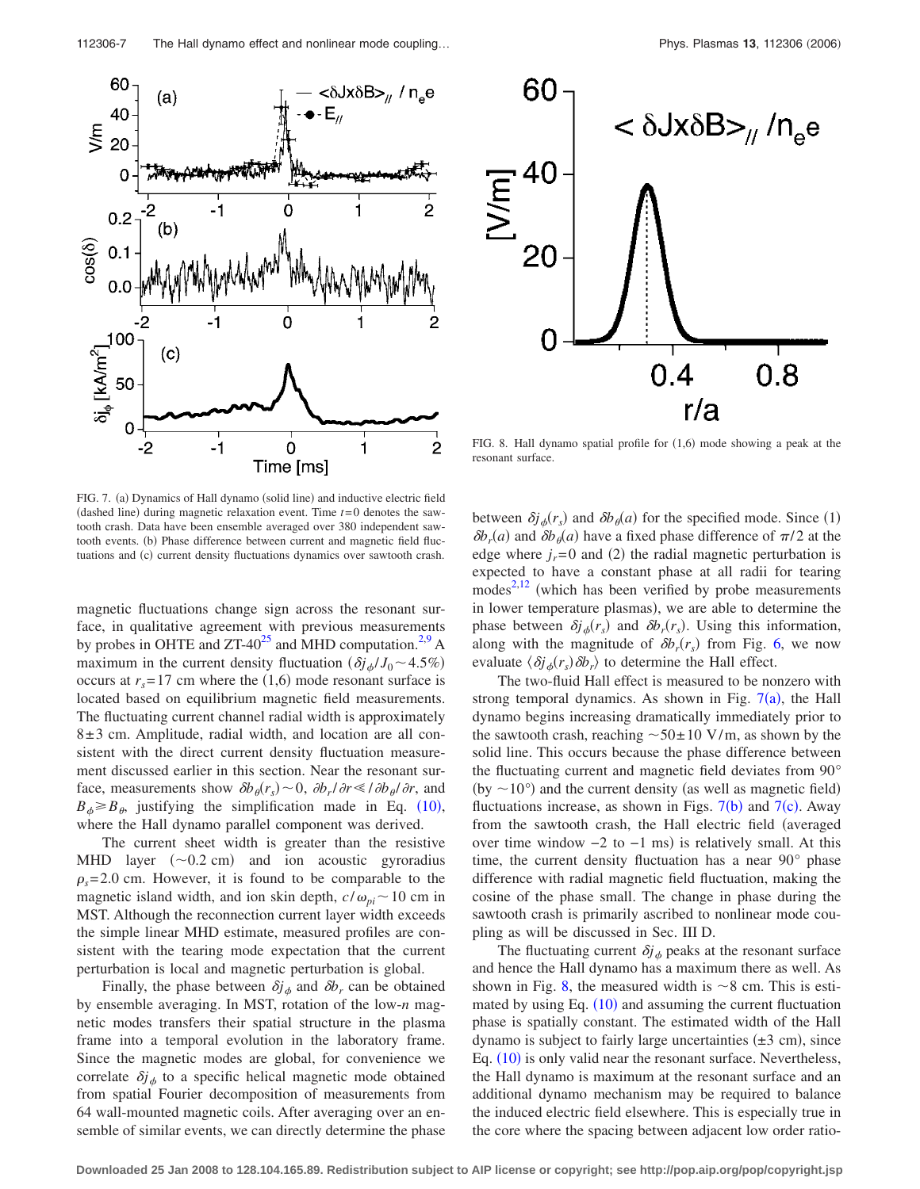<span id="page-6-0"></span>

<span id="page-6-1"></span>

FIG. 8. Hall dynamo spatial profile for  $(1,6)$  mode showing a peak at the resonant surface.

FIG. 7. (a) Dynamics of Hall dynamo (solid line) and inductive electric field (dashed line) during magnetic relaxation event. Time  $t=0$  denotes the sawtooth crash. Data have been ensemble averaged over 380 independent sawtooth events. (b) Phase difference between current and magnetic field fluctuations and (c) current density fluctuations dynamics over sawtooth crash.

magnetic fluctuations change sign across the resonant surface, in qualitative agreement with previous measurements by probes in OHTE and  $ZT-40^{25}$  and MHD computation.<sup>2,[9](#page-10-4)</sup> A maximum in the current density fluctuation  $(\delta j_{\phi}/J_0 \sim 4.5\%)$ occurs at  $r_s = 17$  cm where the  $(1,6)$  mode resonant surface is located based on equilibrium magnetic field measurements. The fluctuating current channel radial width is approximately 8 $\pm$ 3 cm. Amplitude, radial width, and location are all consistent with the direct current density fluctuation measurement discussed earlier in this section. Near the resonant surface, measurements show  $\delta b_{\theta}(r_s) \sim 0$ ,  $\partial b_r / \partial r \ll / \partial b_{\theta} / \partial r$ , and  $B_{\phi} \ge B_{\theta}$ , justifying the simplification made in Eq. ([10](#page-4-0)), where the Hall dynamo parallel component was derived.

The current sheet width is greater than the resistive MHD layer  $(\sim 0.2 \text{ cm})$  and ion acoustic gyroradius  $\rho_s$ =2.0 cm. However, it is found to be comparable to the magnetic island width, and ion skin depth,  $c/\omega_{pi}$  ~ 10 cm in MST. Although the reconnection current layer width exceeds the simple linear MHD estimate, measured profiles are consistent with the tearing mode expectation that the current perturbation is local and magnetic perturbation is global.

Finally, the phase between  $\delta j_{\phi}$  and  $\delta b_r$  can be obtained by ensemble averaging. In MST, rotation of the low-*n* magnetic modes transfers their spatial structure in the plasma frame into a temporal evolution in the laboratory frame. Since the magnetic modes are global, for convenience we correlate  $\delta j_a$  to a specific helical magnetic mode obtained from spatial Fourier decomposition of measurements from 64 wall-mounted magnetic coils. After averaging over an ensemble of similar events, we can directly determine the phase

between  $\delta j_{\phi}(r_s)$  and  $\delta b_{\theta}(a)$  for the specified mode. Since (1)  $\delta b_r(a)$  and  $\delta b_\theta(a)$  have a fixed phase difference of  $\pi/2$  at the edge where  $j_r = 0$  and (2) the radial magnetic perturbation is expected to have a constant phase at all radii for tearing modes $^{2,12}$  $^{2,12}$  $^{2,12}$  (which has been verified by probe measurements in lower temperature plasmas), we are able to determine the phase between  $\delta j_{\phi}(r_s)$  and  $\delta b_r(r_s)$ . Using this information, along with the magnitude of  $\delta b_r(r_s)$  from Fig. [6,](#page-5-2) we now evaluate  $\langle \delta j_{\phi}(r_s) \delta b_r \rangle$  to determine the Hall effect.

The two-fluid Hall effect is measured to be nonzero with strong temporal dynamics. As shown in Fig.  $7(a)$  $7(a)$ , the Hall dynamo begins increasing dramatically immediately prior to the sawtooth crash, reaching  $\sim 50 \pm 10$  V/m, as shown by the solid line. This occurs because the phase difference between the fluctuating current and magnetic field deviates from 90*°* (by  $\sim$  10<sup>°</sup>) and the current density (as well as magnetic field) fluctuations increase, as shown in Figs.  $7(b)$  $7(b)$  and  $7(c)$ . Away from the sawtooth crash, the Hall electric field (averaged over time window  $-2$  to  $-1$  ms) is relatively small. At this time, the current density fluctuation has a near 90*°* phase difference with radial magnetic field fluctuation, making the cosine of the phase small. The change in phase during the sawtooth crash is primarily ascribed to nonlinear mode coupling as will be discussed in Sec. III D.

The fluctuating current  $\delta j_{\phi}$  peaks at the resonant surface and hence the Hall dynamo has a maximum there as well. As shown in Fig. [8,](#page-6-1) the measured width is  $\sim$ 8 cm. This is estimated by using Eq.  $(10)$  $(10)$  $(10)$  and assuming the current fluctuation phase is spatially constant. The estimated width of the Hall dynamo is subject to fairly large uncertainties  $(\pm 3 \text{ cm})$ , since Eq. ([10](#page-4-0)) is only valid near the resonant surface. Nevertheless, the Hall dynamo is maximum at the resonant surface and an additional dynamo mechanism may be required to balance the induced electric field elsewhere. This is especially true in the core where the spacing between adjacent low order ratio-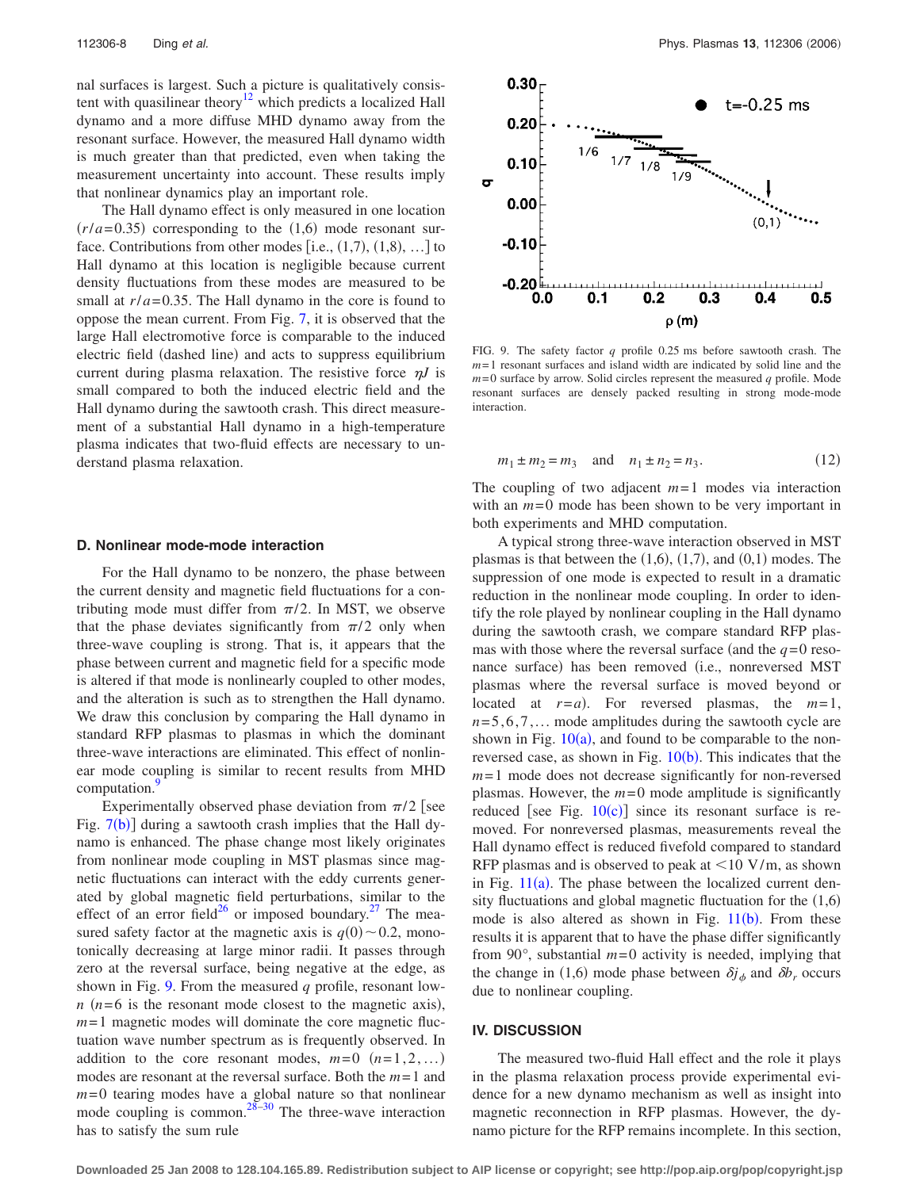nal surfaces is largest. Such a picture is qualitatively consistent with quasilinear theory<sup>12</sup> which predicts a localized Hall dynamo and a more diffuse MHD dynamo away from the resonant surface. However, the measured Hall dynamo width is much greater than that predicted, even when taking the measurement uncertainty into account. These results imply that nonlinear dynamics play an important role.

The Hall dynamo effect is only measured in one location  $(r/a = 0.35)$  corresponding to the  $(1,6)$  mode resonant surface. Contributions from other modes  $[i.e., (1,7), (1,8), \ldots]$  to Hall dynamo at this location is negligible because current density fluctuations from these modes are measured to be small at  $r/a = 0.35$ . The Hall dynamo in the core is found to oppose the mean current. From Fig. [7,](#page-6-0) it is observed that the large Hall electromotive force is comparable to the induced electric field (dashed line) and acts to suppress equilibrium current during plasma relaxation. The resistive force  $\eta J$  is small compared to both the induced electric field and the Hall dynamo during the sawtooth crash. This direct measurement of a substantial Hall dynamo in a high-temperature plasma indicates that two-fluid effects are necessary to understand plasma relaxation.

#### **D. Nonlinear mode-mode interaction**

For the Hall dynamo to be nonzero, the phase between the current density and magnetic field fluctuations for a contributing mode must differ from  $\pi/2$ . In MST, we observe that the phase deviates significantly from  $\pi/2$  only when three-wave coupling is strong. That is, it appears that the phase between current and magnetic field for a specific mode is altered if that mode is nonlinearly coupled to other modes, and the alteration is such as to strengthen the Hall dynamo. We draw this conclusion by comparing the Hall dynamo in standard RFP plasmas to plasmas in which the dominant three-wave interactions are eliminated. This effect of nonlinear mode coupling is similar to recent results from MHD computation.<sup>9</sup>

Experimentally observed phase deviation from  $\pi/2$  [see Fig.  $7(b)$  $7(b)$ ] during a sawtooth crash implies that the Hall dynamo is enhanced. The phase change most likely originates from nonlinear mode coupling in MST plasmas since magnetic fluctuations can interact with the eddy currents generated by global magnetic field perturbations, similar to the effect of an error field<sup>26</sup> or imposed boundary.<sup>27</sup> The measured safety factor at the magnetic axis is  $q(0) \sim 0.2$ , monotonically decreasing at large minor radii. It passes through zero at the reversal surface, being negative at the edge, as shown in Fig. [9.](#page-7-0) From the measured *q* profile, resonant low $n(n=6)$  is the resonant mode closest to the magnetic axis),  $m=1$  magnetic modes will dominate the core magnetic fluctuation wave number spectrum as is frequently observed. In addition to the core resonant modes,  $m=0$   $(n=1,2,...)$ modes are resonant at the reversal surface. Both the *m*= 1 and *m*= 0 tearing modes have a global nature so that nonlinear mode coupling is common.  $28-30$  The three-wave interaction has to satisfy the sum rule

<span id="page-7-0"></span>

FIG. 9. The safety factor *q* profile 0.25 ms before sawtooth crash. The  $m=1$  resonant surfaces and island width are indicated by solid line and the  $m=0$  surface by arrow. Solid circles represent the measured  $q$  profile. Mode resonant surfaces are densely packed resulting in strong mode-mode interaction.

$$
m_1 \pm m_2 = m_3
$$
 and  $n_1 \pm n_2 = n_3$ . (12)

The coupling of two adjacent  $m=1$  modes via interaction with an  $m=0$  mode has been shown to be very important in both experiments and MHD computation.

A typical strong three-wave interaction observed in MST plasmas is that between the  $(1,6)$ ,  $(1,7)$ , and  $(0,1)$  modes. The suppression of one mode is expected to result in a dramatic reduction in the nonlinear mode coupling. In order to identify the role played by nonlinear coupling in the Hall dynamo during the sawtooth crash, we compare standard RFP plasmas with those where the reversal surface (and the  $q=0$  resonance surface) has been removed (i.e., nonreversed MST plasmas where the reversal surface is moved beyond or located at  $r=a$ ). For reversed plasmas, the  $m=1$ ,  $n=5,6,7,...$  mode amplitudes during the sawtooth cycle are shown in Fig.  $10(a)$  $10(a)$ , and found to be comparable to the nonreversed case, as shown in Fig.  $10(b)$  $10(b)$ . This indicates that the *m*= 1 mode does not decrease significantly for non-reversed plasmas. However, the  $m=0$  mode amplitude is significantly reduced [see Fig.  $10(c)$  $10(c)$ ] since its resonant surface is removed. For nonreversed plasmas, measurements reveal the Hall dynamo effect is reduced fivefold compared to standard RFP plasmas and is observed to peak at  $\leq 10$  V/m, as shown in Fig.  $11(a)$  $11(a)$ . The phase between the localized current density fluctuations and global magnetic fluctuation for the  $(1,6)$ mode is also altered as shown in Fig.  $11(b)$  $11(b)$ . From these results it is apparent that to have the phase differ significantly from 90 $^{\circ}$ , substantial  $m=0$  activity is needed, implying that the change in (1,6) mode phase between  $\delta j_{\phi}$  and  $\delta b_r$  occurs due to nonlinear coupling.

## **IV. DISCUSSION**

The measured two-fluid Hall effect and the role it plays in the plasma relaxation process provide experimental evidence for a new dynamo mechanism as well as insight into magnetic reconnection in RFP plasmas. However, the dynamo picture for the RFP remains incomplete. In this section,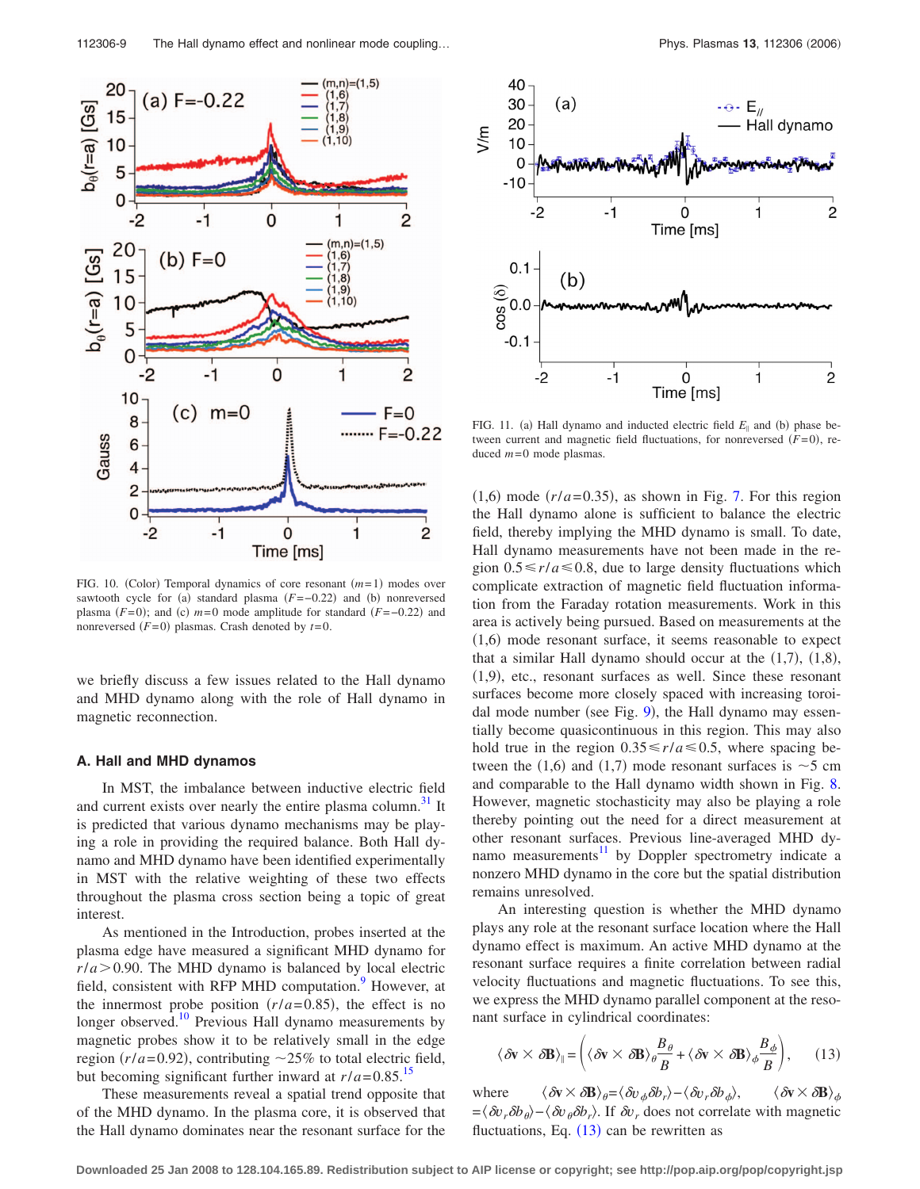<span id="page-8-0"></span>

FIG. 10. (Color) Temporal dynamics of core resonant  $(m=1)$  modes over sawtooth cycle for (a) standard plasma  $(F=-0.22)$  and (b) nonreversed plasma  $(F=0)$ ; and (c)  $m=0$  mode amplitude for standard  $(F=-0.22)$  and nonreversed  $(F=0)$  plasmas. Crash denoted by  $t=0$ .

we briefly discuss a few issues related to the Hall dynamo and MHD dynamo along with the role of Hall dynamo in magnetic reconnection.

## **A. Hall and MHD dynamos**

In MST, the imbalance between inductive electric field and current exists over nearly the entire plasma column.<sup>31</sup> It is predicted that various dynamo mechanisms may be playing a role in providing the required balance. Both Hall dynamo and MHD dynamo have been identified experimentally in MST with the relative weighting of these two effects throughout the plasma cross section being a topic of great interest.

As mentioned in the Introduction, probes inserted at the plasma edge have measured a significant MHD dynamo for  $r/a$  > 0.90. The MHD dynamo is balanced by local electric field, consistent with RFP MHD computation. However, at the innermost probe position  $(r/a=0.85)$ , the effect is no longer observed.<sup>10</sup> Previous Hall dynamo measurements by magnetic probes show it to be relatively small in the edge region  $(r/a = 0.92)$ , contributing  $\sim 25\%$  to total electric field, but becoming significant further inward at  $r/a = 0.85$ .<sup>[15](#page-10-10)</sup>

These measurements reveal a spatial trend opposite that of the MHD dynamo. In the plasma core, it is observed that the Hall dynamo dominates near the resonant surface for the

<span id="page-8-1"></span>

FIG. 11. (a) Hall dynamo and inducted electric field  $E_{\parallel}$  and (b) phase between current and magnetic field fluctuations, for nonreversed  $(F= 0)$ , reduced  $m=0$  mode plasmas.

 $(1,6)$  mode  $(r/a=0.35)$ , as shown in Fig. [7.](#page-6-0) For this region the Hall dynamo alone is sufficient to balance the electric field, thereby implying the MHD dynamo is small. To date, Hall dynamo measurements have not been made in the region  $0.5 \le r/a \le 0.8$ , due to large density fluctuations which complicate extraction of magnetic field fluctuation information from the Faraday rotation measurements. Work in this area is actively being pursued. Based on measurements at the (1,6) mode resonant surface, it seems reasonable to expect that a similar Hall dynamo should occur at the  $(1,7)$ ,  $(1,8)$ ,  $(1,9)$ , etc., resonant surfaces as well. Since these resonant surfaces become more closely spaced with increasing toroi-dal mode number (see Fig. [9](#page-7-0)), the Hall dynamo may essentially become quasicontinuous in this region. This may also hold true in the region  $0.35 \le r/a \le 0.5$ , where spacing between the (1,6) and (1,7) mode resonant surfaces is  $\sim$  5 cm and comparable to the Hall dynamo width shown in Fig. [8.](#page-6-1) However, magnetic stochasticity may also be playing a role thereby pointing out the need for a direct measurement at other resonant surfaces. Previous line-averaged MHD dynamo measurements $\frac{11}{10}$  by Doppler spectrometry indicate a nonzero MHD dynamo in the core but the spatial distribution remains unresolved.

An interesting question is whether the MHD dynamo plays any role at the resonant surface location where the Hall dynamo effect is maximum. An active MHD dynamo at the resonant surface requires a finite correlation between radial velocity fluctuations and magnetic fluctuations. To see this, we express the MHD dynamo parallel component at the resonant surface in cylindrical coordinates:

<span id="page-8-2"></span>
$$
\langle \delta \mathbf{v} \times \delta \mathbf{B} \rangle_{\parallel} = \left( \langle \delta \mathbf{v} \times \delta \mathbf{B} \rangle_{\theta} \frac{B_{\theta}}{B} + \langle \delta \mathbf{v} \times \delta \mathbf{B} \rangle_{\phi} \frac{B_{\phi}}{B} \right), \qquad (13)
$$

where  $\langle \delta v \times \delta \mathbf{B} \rangle_{\theta} = \langle \delta v_{\phi} \delta b_{r} \rangle - \langle \delta v_{r} \delta b_{\phi} \rangle, \qquad \langle \delta v \times \delta v_{r} \rangle$  $\langle \delta \mathbf{v} \times \delta \mathbf{B} \rangle_{ab}$  $=\langle \delta v_r \delta b_\theta \rangle - \langle \delta v_\theta \delta b_r \rangle$ . If  $\delta v_r$  does not correlate with magnetic fluctuations, Eq.  $(13)$  $(13)$  $(13)$  can be rewritten as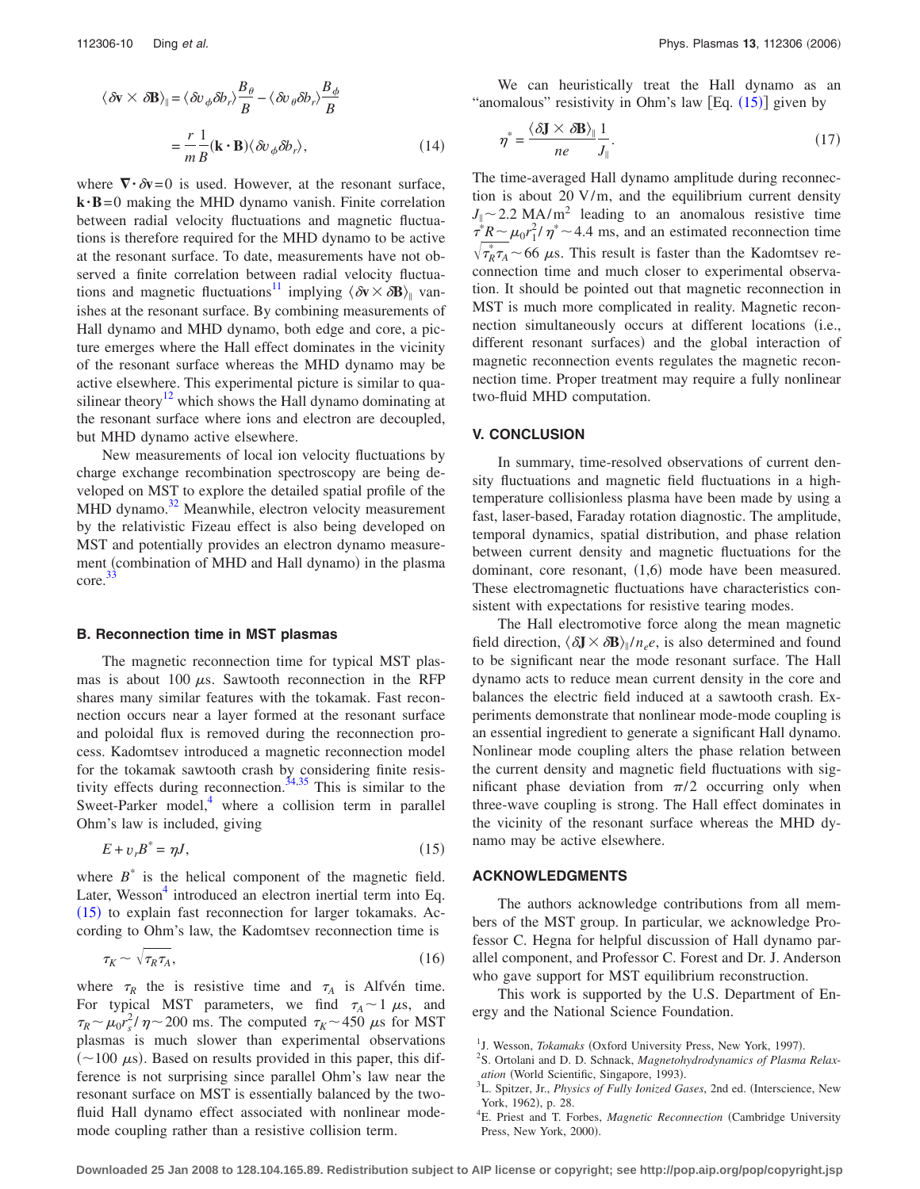$$
\langle \delta \mathbf{v} \times \delta \mathbf{B} \rangle_{\parallel} = \langle \delta v_{\phi} \delta b_{r} \rangle \frac{B_{\theta}}{B} - \langle \delta v_{\theta} \delta b_{r} \rangle \frac{B_{\phi}}{B}
$$

$$
= \frac{r}{m} \frac{1}{B} (\mathbf{k} \cdot \mathbf{B}) \langle \delta v_{\phi} \delta b_{r} \rangle, \qquad (14)
$$

where  $\nabla \cdot \delta v = 0$  is used. However, at the resonant surface,  $\mathbf{k} \cdot \mathbf{B} = 0$  making the MHD dynamo vanish. Finite correlation between radial velocity fluctuations and magnetic fluctuations is therefore required for the MHD dynamo to be active at the resonant surface. To date, measurements have not observed a finite correlation between radial velocity fluctuations and magnetic fluctuations<sup>11</sup> implying  $\langle \delta v \times \delta B \rangle_{\parallel}$  vanishes at the resonant surface. By combining measurements of Hall dynamo and MHD dynamo, both edge and core, a picture emerges where the Hall effect dominates in the vicinity of the resonant surface whereas the MHD dynamo may be active elsewhere. This experimental picture is similar to quasilinear theory<sup>12</sup> which shows the Hall dynamo dominating at the resonant surface where ions and electron are decoupled, but MHD dynamo active elsewhere.

New measurements of local ion velocity fluctuations by charge exchange recombination spectroscopy are being developed on MST to explore the detailed spatial profile of the MHD dynamo.<sup>32</sup> Meanwhile, electron velocity measurement by the relativistic Fizeau effect is also being developed on MST and potentially provides an electron dynamo measurement (combination of MHD and Hall dynamo) in the plasma core. [33](#page-10-27)

## **B. Reconnection time in MST plasmas**

The magnetic reconnection time for typical MST plasmas is about 100  $\mu$ s. Sawtooth reconnection in the RFP shares many similar features with the tokamak. Fast reconnection occurs near a layer formed at the resonant surface and poloidal flux is removed during the reconnection process. Kadomtsev introduced a magnetic reconnection model for the tokamak sawtooth crash by considering finite resis-tivity effects during reconnection.<sup>34,[35](#page-10-29)</sup> This is similar to the Sweet-Parker model, $\frac{4}{3}$  where a collision term in parallel Ohm's law is included, giving

$$
E + v_r B^* = \eta J,\tag{15}
$$

<span id="page-9-4"></span>where  $B^*$  is the helical component of the magnetic field. Later, Wesson<sup>4</sup> introduced an electron inertial term into Eq. ([15](#page-9-4)) to explain fast reconnection for larger tokamaks. According to Ohm's law, the Kadomtsev reconnection time is

$$
\tau_K \sim \sqrt{\tau_R \tau_A},\tag{16}
$$

where  $\tau_R$  the is resistive time and  $\tau_A$  is Alfvén time. For typical MST parameters, we find  $\tau_A \sim 1 \mu s$ , and  $\tau_R \sim \mu_0 r_s^2 / \eta \sim 200$  ms. The computed  $\tau_K \sim 450 \mu s$  for MST plasmas is much slower than experimental observations  $(\sim 100 \ \mu s)$ . Based on results provided in this paper, this difference is not surprising since parallel Ohm's law near the resonant surface on MST is essentially balanced by the twofluid Hall dynamo effect associated with nonlinear modemode coupling rather than a resistive collision term.

We can heuristically treat the Hall dynamo as an "anomalous" resistivity in Ohm's law  $[Eq. (15)]$  $[Eq. (15)]$  $[Eq. (15)]$  given by

$$
\eta^* = \frac{\langle \delta \mathbf{J} \times \delta \mathbf{B} \rangle_{\parallel}}{ne} \frac{1}{J_{\parallel}}.
$$
 (17)

The time-averaged Hall dynamo amplitude during reconnection is about 20 V/m, and the equilibrium current density  $J_{\parallel}$  ~ 2.2 MA/m<sup>2</sup> leading to an anomalous resistive time  $\tau^*R \sim \mu_0 r_1^2 / \eta^* \sim 4.4$  ms, and an estimated reconnection time  $\sqrt{\tau_{R}^{*}\tau_{A}} \sim 66$   $\mu$ s. This result is faster than the Kadomtsev reconnection time and much closer to experimental observation. It should be pointed out that magnetic reconnection in MST is much more complicated in reality. Magnetic reconnection simultaneously occurs at different locations (i.e., different resonant surfaces) and the global interaction of magnetic reconnection events regulates the magnetic reconnection time. Proper treatment may require a fully nonlinear two-fluid MHD computation.

### **V. CONCLUSION**

In summary, time-resolved observations of current density fluctuations and magnetic field fluctuations in a hightemperature collisionless plasma have been made by using a fast, laser-based, Faraday rotation diagnostic. The amplitude, temporal dynamics, spatial distribution, and phase relation between current density and magnetic fluctuations for the dominant, core resonant, (1,6) mode have been measured. These electromagnetic fluctuations have characteristics consistent with expectations for resistive tearing modes.

The Hall electromotive force along the mean magnetic field direction,  $\langle \delta \mathbf{J} \times \delta \mathbf{B} \rangle_{\parallel}/n_e e$ , is also determined and found to be significant near the mode resonant surface. The Hall dynamo acts to reduce mean current density in the core and balances the electric field induced at a sawtooth crash. Experiments demonstrate that nonlinear mode-mode coupling is an essential ingredient to generate a significant Hall dynamo. Nonlinear mode coupling alters the phase relation between the current density and magnetic field fluctuations with significant phase deviation from  $\pi/2$  occurring only when three-wave coupling is strong. The Hall effect dominates in the vicinity of the resonant surface whereas the MHD dynamo may be active elsewhere.

## **ACKNOWLEDGMENTS**

The authors acknowledge contributions from all members of the MST group. In particular, we acknowledge Professor C. Hegna for helpful discussion of Hall dynamo parallel component, and Professor C. Forest and Dr. J. Anderson who gave support for MST equilibrium reconstruction.

This work is supported by the U.S. Department of Energy and the National Science Foundation.

<span id="page-9-1"></span><span id="page-9-0"></span><sup>&</sup>lt;sup>1</sup>J. Wesson, *Tokamaks* (Oxford University Press, New York, 1997). <sup>2</sup>S. Ortolani and D. D. Schnack, *Magnetohydrodynamics of Plasma Relaxation* (World Scientific, Singapore, 1993).<br><sup>3</sup>L, Spitzer, Jr. *Physics of Fully Lapized Co* 

<span id="page-9-2"></span><sup>&</sup>lt;sup>3</sup>L. Spitzer, Jr., *Physics of Fully Ionized Gases*, 2nd ed. (Interscience, New York, 1962), p. 28.

<span id="page-9-3"></span>E. Priest and T. Forbes, *Magnetic Reconnection* Cambridge University Press, New York, 2000).